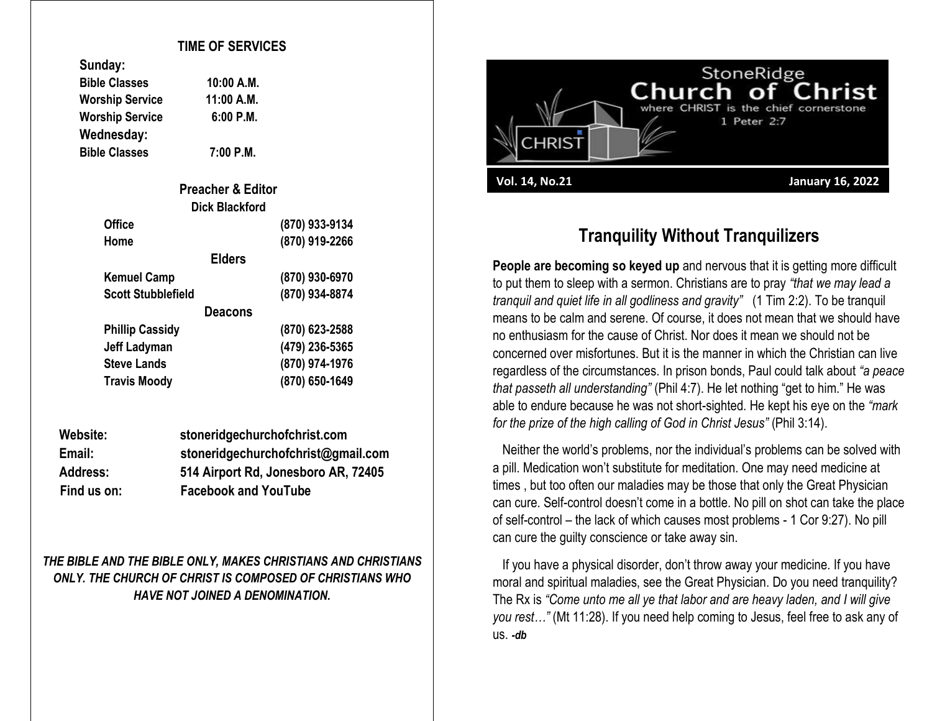## **TIME OF SERVICES**

**Bible Classes 10:00 A.M. Worship Service 11:00 A.M. Worship Service 6:00 P.M.**

| Sungay:                |           |
|------------------------|-----------|
| <b>Bible Classes</b>   | 10:00 A.M |
| <b>Worship Service</b> | 11:00 A.N |
| <b>Worship Service</b> | 6:00 P.N  |
| Wednesday:             |           |
|                        |           |

**Sunday:**

**Bible Classes 7:00 P.M.**

| <b>Preacher &amp; Editor</b> |                |  |
|------------------------------|----------------|--|
| <b>Dick Blackford</b>        |                |  |
| <b>Office</b>                | (870) 933-9134 |  |
| Home                         | (870) 919-2266 |  |
| <b>Elders</b>                |                |  |
| <b>Kemuel Camp</b>           | (870) 930-6970 |  |
| <b>Scott Stubblefield</b>    | (870) 934-8874 |  |
| <b>Deacons</b>               |                |  |
| <b>Phillip Cassidy</b>       | (870) 623-2588 |  |
| <b>Jeff Ladyman</b>          | (479) 236-5365 |  |
| <b>Steve Lands</b>           | (870) 974-1976 |  |
| <b>Travis Moody</b>          | (870) 650-1649 |  |

| Website:        | stoneridgechurchofchrist.com        |
|-----------------|-------------------------------------|
| Email:          | stoneridgechurchofchrist@gmail.com  |
| <b>Address:</b> | 514 Airport Rd, Jonesboro AR, 72405 |
| Find us on:     | <b>Facebook and YouTube</b>         |

*THE BIBLE AND THE BIBLE ONLY, MAKES CHRISTIANS AND CHRISTIANS ONLY. THE CHURCH OF CHRIST IS COMPOSED OF CHRISTIANS WHO HAVE NOT JOINED A DENOMINATION.*



## **Tranquility Without Tranquilizers**

**People are becoming so keyed up** and nervous that it is getting more difficult to put them to sleep with a sermon. Christians are to pray *"that we may lead a tranquil and quiet life in all godliness and gravity"* (1 Tim 2:2). To be tranquil means to be calm and serene. Of course, it does not mean that we should have no enthusiasm for the cause of Christ. Nor does it mean we should not be concerned over misfortunes. But it is the manner in which the Christian can live regardless of the circumstances. In prison bonds, Paul could talk about *"a peace that passeth all understanding"* (Phil 4:7). He let nothing "get to him." He was able to endure because he was not short-sighted. He kept his eye on the *"mark for the prize of the high calling of God in Christ Jesus"* (Phil 3:14).

 Neither the world's problems, nor the individual's problems can be solved with a pill. Medication won't substitute for meditation. One may need medicine at times , but too often our maladies may be those that only the Great Physician can cure. Self-control doesn't come in a bottle. No pill on shot can take the place of self-control – the lack of which causes most problems - 1 Cor 9:27). No pill can cure the guilty conscience or take away sin.

 If you have a physical disorder, don't throw away your medicine. If you have moral and spiritual maladies, see the Great Physician. Do you need tranquility? The Rx is *"Come unto me all ye that labor and are heavy laden, and I will give you rest…"* (Mt 11:28). If you need help coming to Jesus, feel free to ask any of us. *-db*